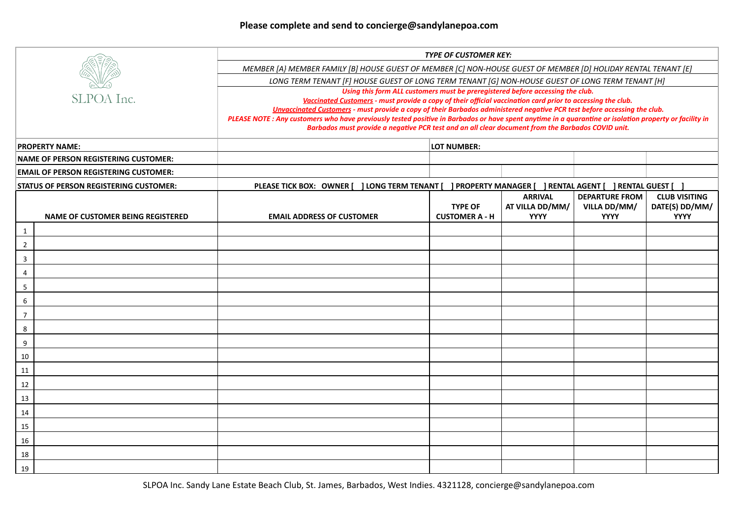| SLPOA Inc.                                    |                                          | <b>TYPE OF CUSTOMER KEY:</b>                                                                                                                                                                                                                                |                                         |                                                  |                                                      |                                                       |  |  |  |
|-----------------------------------------------|------------------------------------------|-------------------------------------------------------------------------------------------------------------------------------------------------------------------------------------------------------------------------------------------------------------|-----------------------------------------|--------------------------------------------------|------------------------------------------------------|-------------------------------------------------------|--|--|--|
|                                               |                                          | MEMBER [A} MEMBER FAMILY [B] HOUSE GUEST OF MEMBER [C] NON-HOUSE GUEST OF MEMBER [D] HOLIDAY RENTAL TENANT [E]                                                                                                                                              |                                         |                                                  |                                                      |                                                       |  |  |  |
|                                               |                                          | LONG TERM TENANT [F] HOUSE GUEST OF LONG TERM TENANT [G] NON-HOUSE GUEST OF LONG TERM TENANT [H]<br>Using this form ALL customers must be preregistered before accessing the club.                                                                          |                                         |                                                  |                                                      |                                                       |  |  |  |
|                                               |                                          |                                                                                                                                                                                                                                                             |                                         |                                                  |                                                      |                                                       |  |  |  |
|                                               |                                          | PLEASE NOTE : Any customers who have previously tested positive in Barbados or have spent anytime in a quarantine or isolation property or facility in<br>Barbados must provide a negative PCR test and an all clear document from the Barbados COVID unit. |                                         |                                                  |                                                      |                                                       |  |  |  |
| <b>PROPERTY NAME:</b>                         |                                          | <b>LOT NUMBER:</b>                                                                                                                                                                                                                                          |                                         |                                                  |                                                      |                                                       |  |  |  |
| <b>NAME OF PERSON REGISTERING CUSTOMER:</b>   |                                          |                                                                                                                                                                                                                                                             |                                         |                                                  |                                                      |                                                       |  |  |  |
| <b>EMAIL OF PERSON REGISTERING CUSTOMER:</b>  |                                          |                                                                                                                                                                                                                                                             |                                         |                                                  |                                                      |                                                       |  |  |  |
| <b>STATUS OF PERSON REGISTERING CUSTOMER:</b> |                                          | <b>J LONG TERM TENANT</b><br>PROPERTY MANAGER [ ] RENTAL AGENT [<br>PLEASE TICK BOX: OWNER [<br><b>] RENTAL GUEST [</b>                                                                                                                                     |                                         |                                                  |                                                      |                                                       |  |  |  |
|                                               | <b>NAME OF CUSTOMER BEING REGISTERED</b> | <b>EMAIL ADDRESS OF CUSTOMER</b>                                                                                                                                                                                                                            | <b>TYPE OF</b><br><b>CUSTOMER A - H</b> | <b>ARRIVAL</b><br>AT VILLA DD/MM/<br><b>YYYY</b> | <b>DEPARTURE FROM</b><br>VILLA DD/MM/<br><b>YYYY</b> | <b>CLUB VISITING</b><br>DATE(S) DD/MM/<br><b>YYYY</b> |  |  |  |
| $\mathbf{1}$                                  |                                          |                                                                                                                                                                                                                                                             |                                         |                                                  |                                                      |                                                       |  |  |  |
| $\overline{2}$                                |                                          |                                                                                                                                                                                                                                                             |                                         |                                                  |                                                      |                                                       |  |  |  |
| 3                                             |                                          |                                                                                                                                                                                                                                                             |                                         |                                                  |                                                      |                                                       |  |  |  |
| 4                                             |                                          |                                                                                                                                                                                                                                                             |                                         |                                                  |                                                      |                                                       |  |  |  |
| 5                                             |                                          |                                                                                                                                                                                                                                                             |                                         |                                                  |                                                      |                                                       |  |  |  |
| 6                                             |                                          |                                                                                                                                                                                                                                                             |                                         |                                                  |                                                      |                                                       |  |  |  |
| $\overline{7}$                                |                                          |                                                                                                                                                                                                                                                             |                                         |                                                  |                                                      |                                                       |  |  |  |
| 8                                             |                                          |                                                                                                                                                                                                                                                             |                                         |                                                  |                                                      |                                                       |  |  |  |
| 9                                             |                                          |                                                                                                                                                                                                                                                             |                                         |                                                  |                                                      |                                                       |  |  |  |
| 10                                            |                                          |                                                                                                                                                                                                                                                             |                                         |                                                  |                                                      |                                                       |  |  |  |
| <u>11</u>                                     |                                          |                                                                                                                                                                                                                                                             |                                         |                                                  |                                                      |                                                       |  |  |  |
| 12                                            |                                          |                                                                                                                                                                                                                                                             |                                         |                                                  |                                                      |                                                       |  |  |  |
| 13                                            |                                          |                                                                                                                                                                                                                                                             |                                         |                                                  |                                                      |                                                       |  |  |  |
| 14                                            |                                          |                                                                                                                                                                                                                                                             |                                         |                                                  |                                                      |                                                       |  |  |  |
| 15                                            |                                          |                                                                                                                                                                                                                                                             |                                         |                                                  |                                                      |                                                       |  |  |  |
| 16                                            |                                          |                                                                                                                                                                                                                                                             |                                         |                                                  |                                                      |                                                       |  |  |  |
| 18                                            |                                          |                                                                                                                                                                                                                                                             |                                         |                                                  |                                                      |                                                       |  |  |  |
| 19                                            |                                          |                                                                                                                                                                                                                                                             |                                         |                                                  |                                                      |                                                       |  |  |  |